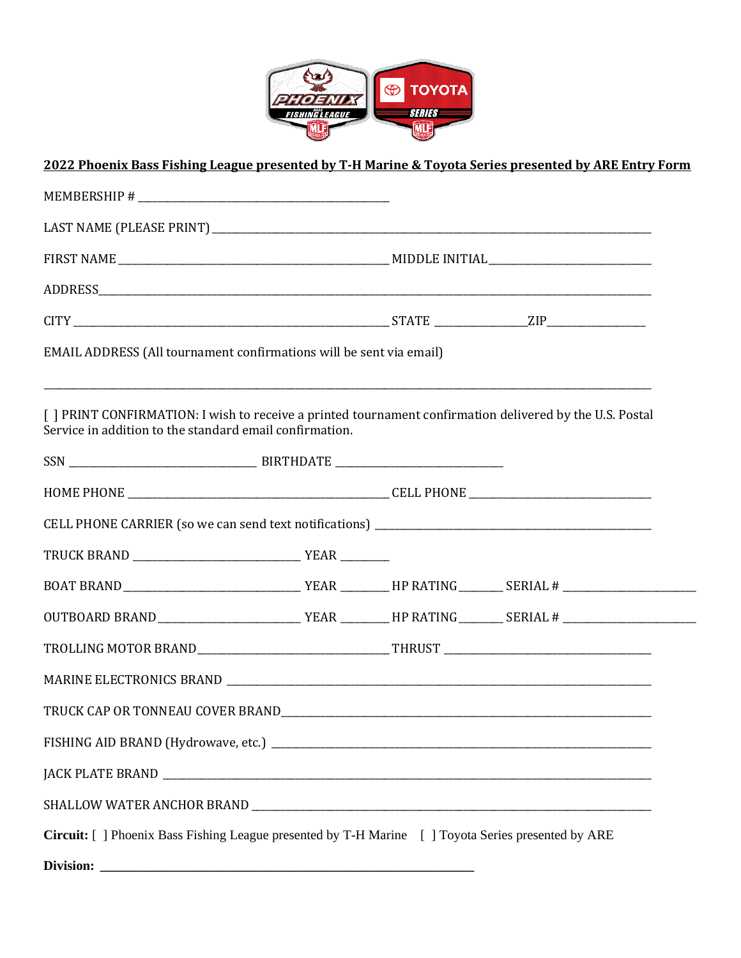

## **2022 Phoenix Bass Fishing League presented by T-H Marine & Toyota Series presented by ARE Entry Form**

| EMAIL ADDRESS (All tournament confirmations will be sent via email)                                                                                                 |  |  |  |  |
|---------------------------------------------------------------------------------------------------------------------------------------------------------------------|--|--|--|--|
| [ ] PRINT CONFIRMATION: I wish to receive a printed tournament confirmation delivered by the U.S. Postal<br>Service in addition to the standard email confirmation. |  |  |  |  |
|                                                                                                                                                                     |  |  |  |  |
|                                                                                                                                                                     |  |  |  |  |
|                                                                                                                                                                     |  |  |  |  |
|                                                                                                                                                                     |  |  |  |  |
|                                                                                                                                                                     |  |  |  |  |
|                                                                                                                                                                     |  |  |  |  |
|                                                                                                                                                                     |  |  |  |  |
|                                                                                                                                                                     |  |  |  |  |
|                                                                                                                                                                     |  |  |  |  |
|                                                                                                                                                                     |  |  |  |  |
|                                                                                                                                                                     |  |  |  |  |
|                                                                                                                                                                     |  |  |  |  |
| Circuit: [ ] Phoenix Bass Fishing League presented by T-H Marine [ ] Toyota Series presented by ARE                                                                 |  |  |  |  |
| Division:                                                                                                                                                           |  |  |  |  |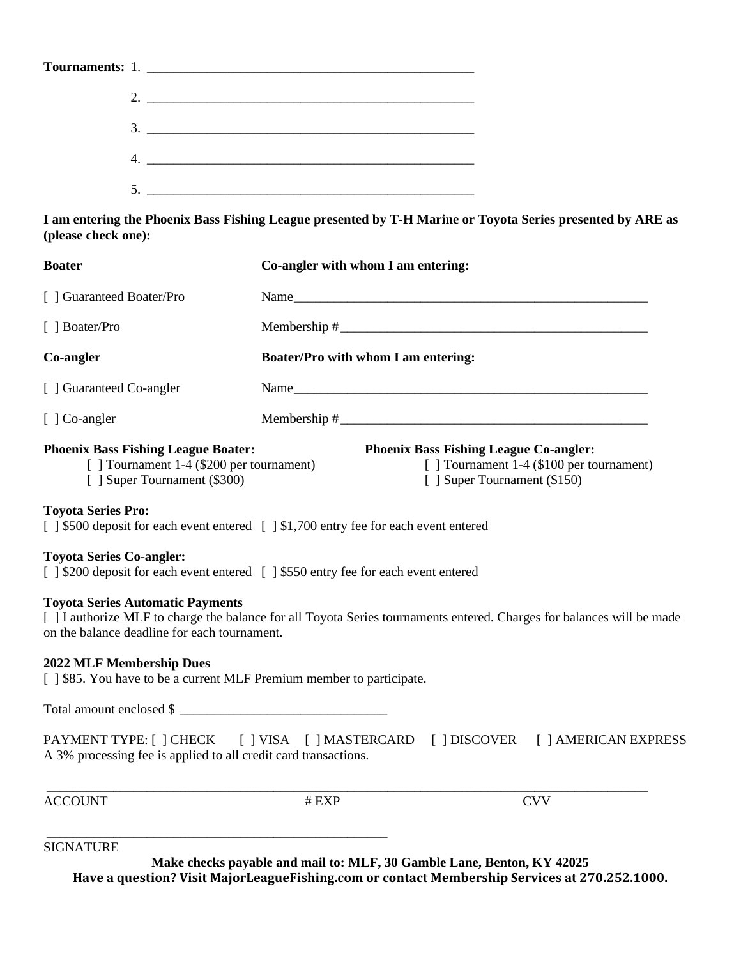| Tournaments: 1. |
|-----------------|
|                 |
|                 |
|                 |
|                 |

**I am entering the Phoenix Bass Fishing League presented by T-H Marine or Toyota Series presented by ARE as (please check one):**

| <b>Boater</b>                                                                                                          | Co-angler with whom I am entering:                                                                                        |
|------------------------------------------------------------------------------------------------------------------------|---------------------------------------------------------------------------------------------------------------------------|
| [ ] Guaranteed Boater/Pro                                                                                              | Name                                                                                                                      |
| [ ] Boater/Pro                                                                                                         |                                                                                                                           |
| Co-angler                                                                                                              | Boater/Pro with whom I am entering:                                                                                       |
| [ ] Guaranteed Co-angler                                                                                               |                                                                                                                           |
| [ ] Co-angler                                                                                                          |                                                                                                                           |
| <b>Phoenix Bass Fishing League Boater:</b><br>[] Tournament 1-4 (\$200 per tournament)<br>[ ] Super Tournament (\$300) | <b>Phoenix Bass Fishing League Co-angler:</b><br>[] Tournament 1-4 (\$100 per tournament)<br>[ ] Super Tournament (\$150) |
| <b>Toyota Series Pro:</b>                                                                                              | [ ] \$500 deposit for each event entered [ ] \$1,700 entry fee for each event entered                                     |
| <b>Toyota Series Co-angler:</b>                                                                                        | [] \$200 deposit for each event entered [] \$550 entry fee for each event entered                                         |
| <b>Toyota Series Automatic Payments</b><br>on the balance deadline for each tournament.                                | [ ] I authorize MLF to charge the balance for all Toyota Series tournaments entered. Charges for balances will be made    |
| <b>2022 MLF Membership Dues</b><br>[] \$85. You have to be a current MLF Premium member to participate.                |                                                                                                                           |
| Total amount enclosed \$                                                                                               |                                                                                                                           |
| A 3% processing fee is applied to all credit card transactions.                                                        | PAYMENT TYPE: [ ] CHECK [ ] VISA [ ] MASTERCARD [ ] DISCOVER [ ] AMERICAN EXPRESS                                         |
| <b>ACCOUNT</b>                                                                                                         | <b>CVV</b><br># EXP                                                                                                       |

SIGNATURE

**Make checks payable and mail to: MLF, 30 Gamble Lane, Benton, KY 42025 Have a question? Visit MajorLeagueFishing.com or contact Membership Services at 270.252.1000.**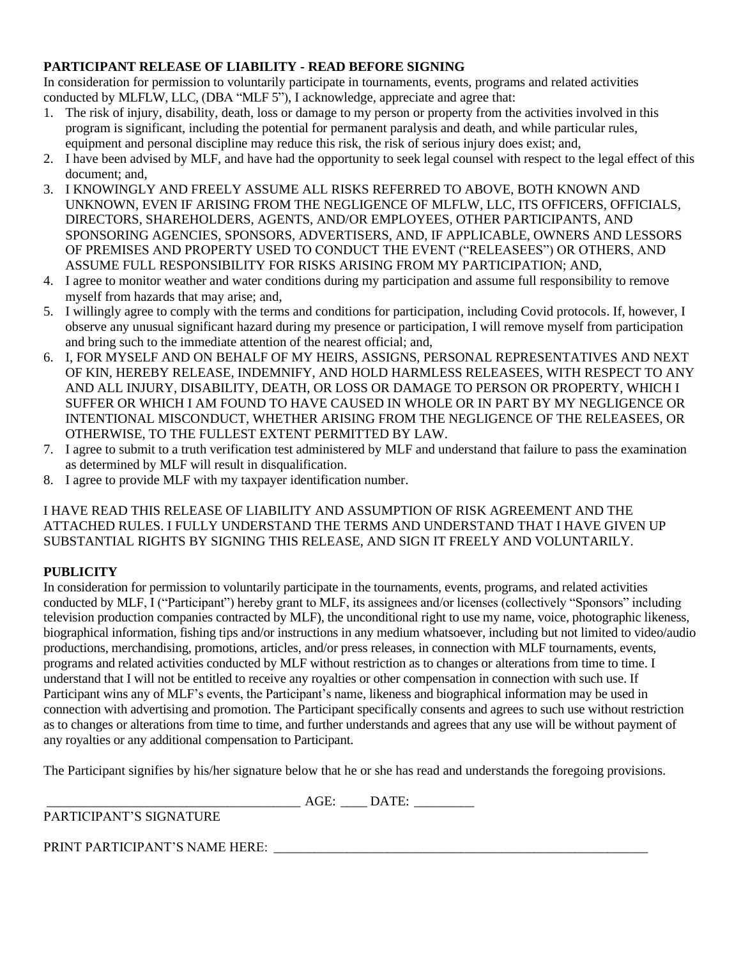## **PARTICIPANT RELEASE OF LIABILITY - READ BEFORE SIGNING**

In consideration for permission to voluntarily participate in tournaments, events, programs and related activities conducted by MLFLW, LLC, (DBA "MLF 5"), I acknowledge, appreciate and agree that:

- 1. The risk of injury, disability, death, loss or damage to my person or property from the activities involved in this program is significant, including the potential for permanent paralysis and death, and while particular rules, equipment and personal discipline may reduce this risk, the risk of serious injury does exist; and,
- 2. I have been advised by MLF, and have had the opportunity to seek legal counsel with respect to the legal effect of this document; and,
- 3. I KNOWINGLY AND FREELY ASSUME ALL RISKS REFERRED TO ABOVE, BOTH KNOWN AND UNKNOWN, EVEN IF ARISING FROM THE NEGLIGENCE OF MLFLW, LLC, ITS OFFICERS, OFFICIALS, DIRECTORS, SHAREHOLDERS, AGENTS, AND/OR EMPLOYEES, OTHER PARTICIPANTS, AND SPONSORING AGENCIES, SPONSORS, ADVERTISERS, AND, IF APPLICABLE, OWNERS AND LESSORS OF PREMISES AND PROPERTY USED TO CONDUCT THE EVENT ("RELEASEES") OR OTHERS, AND ASSUME FULL RESPONSIBILITY FOR RISKS ARISING FROM MY PARTICIPATION; AND,
- 4. I agree to monitor weather and water conditions during my participation and assume full responsibility to remove myself from hazards that may arise; and,
- 5. I willingly agree to comply with the terms and conditions for participation, including Covid protocols. If, however, I observe any unusual significant hazard during my presence or participation, I will remove myself from participation and bring such to the immediate attention of the nearest official; and,
- 6. I, FOR MYSELF AND ON BEHALF OF MY HEIRS, ASSIGNS, PERSONAL REPRESENTATIVES AND NEXT OF KIN, HEREBY RELEASE, INDEMNIFY, AND HOLD HARMLESS RELEASEES, WITH RESPECT TO ANY AND ALL INJURY, DISABILITY, DEATH, OR LOSS OR DAMAGE TO PERSON OR PROPERTY, WHICH I SUFFER OR WHICH I AM FOUND TO HAVE CAUSED IN WHOLE OR IN PART BY MY NEGLIGENCE OR INTENTIONAL MISCONDUCT, WHETHER ARISING FROM THE NEGLIGENCE OF THE RELEASEES, OR OTHERWISE, TO THE FULLEST EXTENT PERMITTED BY LAW.
- 7. I agree to submit to a truth verification test administered by MLF and understand that failure to pass the examination as determined by MLF will result in disqualification.
- 8. I agree to provide MLF with my taxpayer identification number.

I HAVE READ THIS RELEASE OF LIABILITY AND ASSUMPTION OF RISK AGREEMENT AND THE ATTACHED RULES. I FULLY UNDERSTAND THE TERMS AND UNDERSTAND THAT I HAVE GIVEN UP SUBSTANTIAL RIGHTS BY SIGNING THIS RELEASE, AND SIGN IT FREELY AND VOLUNTARILY.

## **PUBLICITY**

In consideration for permission to voluntarily participate in the tournaments, events, programs, and related activities conducted by MLF, I ("Participant") hereby grant to MLF, its assignees and/or licenses (collectively "Sponsors" including television production companies contracted by MLF), the unconditional right to use my name, voice, photographic likeness, biographical information, fishing tips and/or instructions in any medium whatsoever, including but not limited to video/audio productions, merchandising, promotions, articles, and/or press releases, in connection with MLF tournaments, events, programs and related activities conducted by MLF without restriction as to changes or alterations from time to time. I understand that I will not be entitled to receive any royalties or other compensation in connection with such use. If Participant wins any of MLF's events, the Participant's name, likeness and biographical information may be used in connection with advertising and promotion. The Participant specifically consents and agrees to such use without restriction as to changes or alterations from time to time, and further understands and agrees that any use will be without payment of any royalties or any additional compensation to Participant.

The Participant signifies by his/her signature below that he or she has read and understands the foregoing provisions.

\_\_\_\_\_\_\_\_\_\_\_\_\_\_\_\_\_\_\_\_\_\_\_\_\_\_\_\_\_\_\_\_\_\_\_\_\_\_ AGE: \_\_\_\_ DATE: \_\_\_\_\_\_\_\_\_ PARTICIPANT'S SIGNATURE

PRINT PARTICIPANT'S NAME HERE: \_\_\_\_\_\_\_\_\_\_\_\_\_\_\_\_\_\_\_\_\_\_\_\_\_\_\_\_\_\_\_\_\_\_\_\_\_\_\_\_\_\_\_\_\_\_\_\_\_\_\_\_\_\_\_\_